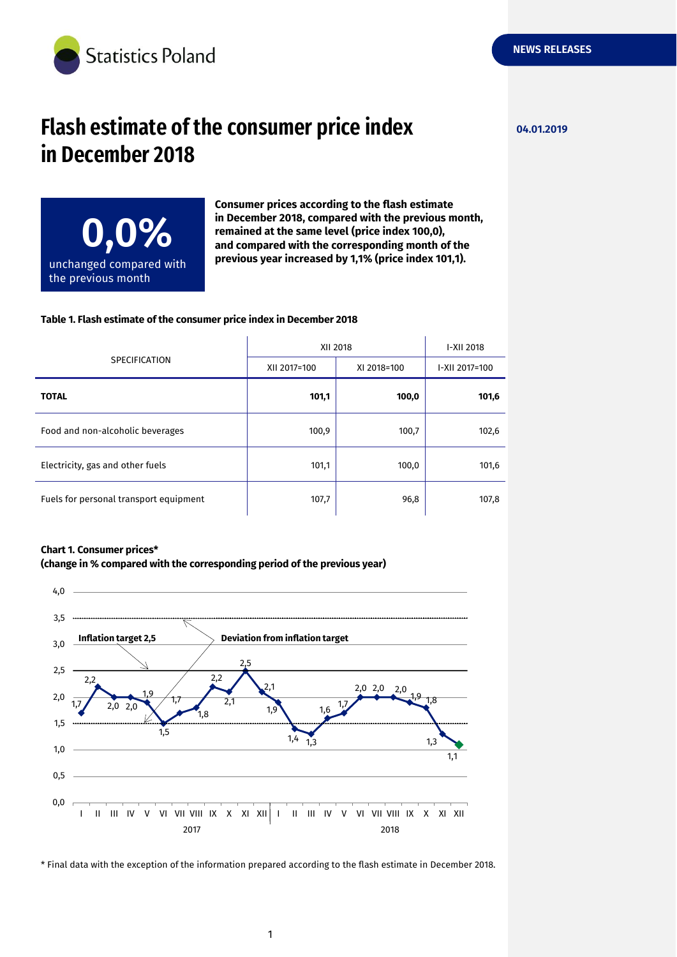

## **Flash estimate of the consumer price index 04.01.2019 in December 2018**

**NEWS RELEASES**



**Consumer prices according to the flash estimate in December 2018, compared with the previous month, remained at the same level (price index 100,0), and compared with the corresponding month of the previous year increased by 1,1% (price index 101,1).**

## **Table 1. Flash estimate of the consumer price index in December 2018**

| <b>SPECIFICATION</b>                   | XII 2018     |             | I-XII 2018     |
|----------------------------------------|--------------|-------------|----------------|
|                                        | XII 2017=100 | XI 2018=100 | I-XII 2017=100 |
| <b>TOTAL</b>                           | 101,1        | 100,0       | 101,6          |
| Food and non-alcoholic beverages       | 100,9        | 100,7       | 102,6          |
| Electricity, gas and other fuels       | 101,1        | 100,0       | 101,6          |
| Fuels for personal transport equipment | 107,7        | 96,8        | 107,8          |

## **Chart 1. Consumer prices\***





\* Final data with the exception of the information prepared according to the flash estimate in December 2018.